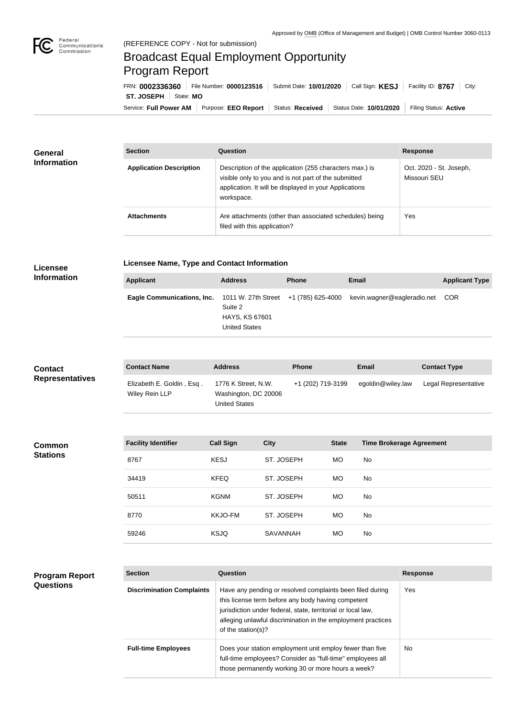## Broadcast Equal Employment Opportunity Program Report

Service: Full Power AM | Purpose: EEO Report | Status: Received | Status Date: 10/01/2020 | Filing Status: Active **ST. JOSEPH** | State: MO FRN: **0002336360** File Number: **0000123516** Submit Date: **10/01/2020** Call Sign: **KESJ** Facility ID: **8767** City:

| <b>General</b><br><b>Information</b> | <b>Section</b>                 | Question                                                                                                                                                                                | <b>Response</b>                         |  |
|--------------------------------------|--------------------------------|-----------------------------------------------------------------------------------------------------------------------------------------------------------------------------------------|-----------------------------------------|--|
|                                      | <b>Application Description</b> | Description of the application (255 characters max.) is<br>visible only to you and is not part of the submitted<br>application. It will be displayed in your Applications<br>workspace. | Oct. 2020 - St. Joseph,<br>Missouri SEU |  |
|                                      | <b>Attachments</b>             | Are attachments (other than associated schedules) being<br>filed with this application?                                                                                                 | Yes                                     |  |

## **Licensee Information**

**Program Report** 

**Questions**

**Licensee Name, Type and Contact Information**

| Applicant                                                                 | <b>Address</b>                                           | <b>Phone</b> | Email                       | <b>Applicant Type</b> |
|---------------------------------------------------------------------------|----------------------------------------------------------|--------------|-----------------------------|-----------------------|
| <b>Eagle Communications, Inc.</b> 1011 W. 27th Street $+1$ (785) 625-4000 | Suite 2<br><b>HAYS, KS 67601</b><br><b>United States</b> |              | kevin.wagner@eagleradio.net | COR                   |

| <b>Contact</b><br><b>Representatives</b> | <b>Contact Name</b>                         | <b>Address</b>                                                      | <b>Phone</b> |                   | Email                           | <b>Contact Type</b>  |
|------------------------------------------|---------------------------------------------|---------------------------------------------------------------------|--------------|-------------------|---------------------------------|----------------------|
|                                          | Elizabeth E. Goldin, Esq.<br>Wiley Rein LLP | 1776 K Street, N.W.<br>Washington, DC 20006<br><b>United States</b> |              | +1 (202) 719-3199 | egoldin@wiley.law               | Legal Representative |
|                                          |                                             |                                                                     |              |                   |                                 |                      |
| <b>Common</b><br><b>Stations</b>         | <b>Facility Identifier</b>                  | <b>Call Sign</b>                                                    | <b>City</b>  | <b>State</b>      | <b>Time Brokerage Agreement</b> |                      |
|                                          | 8767                                        | <b>KESJ</b>                                                         | ST. JOSEPH   | MO                | No                              |                      |
|                                          | 34419                                       | <b>KFEQ</b>                                                         | ST. JOSEPH   | <b>MO</b>         | No                              |                      |
|                                          | 50511                                       | <b>KGNM</b>                                                         | ST. JOSEPH   | MO                | No                              |                      |
|                                          | 8770                                        | <b>KKJO-FM</b>                                                      | ST. JOSEPH   | <b>MO</b>         | No                              |                      |
|                                          | 59246                                       | <b>KSJQ</b>                                                         | SAVANNAH     | MO                | No                              |                      |
|                                          |                                             |                                                                     |              |                   |                                 |                      |

| <b>Section</b>                   | Question                                                                                                                                                                                                                                                              | <b>Response</b> |  |
|----------------------------------|-----------------------------------------------------------------------------------------------------------------------------------------------------------------------------------------------------------------------------------------------------------------------|-----------------|--|
| <b>Discrimination Complaints</b> | Have any pending or resolved complaints been filed during<br>this license term before any body having competent<br>jurisdiction under federal, state, territorial or local law,<br>alleging unlawful discrimination in the employment practices<br>of the station(s)? | Yes             |  |
| <b>Full-time Employees</b>       | Does your station employment unit employ fewer than five<br>full-time employees? Consider as "full-time" employees all<br>those permanently working 30 or more hours a week?                                                                                          | No.             |  |